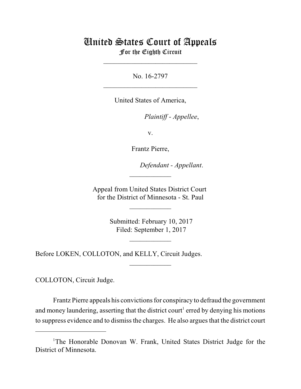## United States Court of Appeals For the Eighth Circuit

\_\_\_\_\_\_\_\_\_\_\_\_\_\_\_\_\_\_\_\_\_\_\_\_\_\_\_

No. 16-2797  $\mathcal{L}_\text{max}$  , which is a set of the set of the set of the set of the set of the set of the set of the set of the set of the set of the set of the set of the set of the set of the set of the set of the set of the set of

United States of America,

Plaintiff - Appellee,

v.

Frantz Pierre,

Defendant - Appellant.

Appeal from United States District Court for the District of Minnesota - St. Paul

 $\overline{\phantom{a}}$  , where  $\overline{\phantom{a}}$ 

 $\frac{1}{2}$ 

 Submitted: February 10, 2017 Filed: September 1, 2017

 $\frac{1}{2}$ 

 $\overline{\phantom{a}}$  , where  $\overline{\phantom{a}}$ 

Before LOKEN, COLLOTON, and KELLY, Circuit Judges.

COLLOTON, Circuit Judge.

Frantz Pierre appeals his convictions for conspiracy to defraud the government and money laundering, asserting that the district court<sup>1</sup> erred by denying his motions to suppress evidence and to dismiss the charges. He also argues that the district court

<sup>&</sup>lt;sup>1</sup>The Honorable Donovan W. Frank, United States District Judge for the District of Minnesota.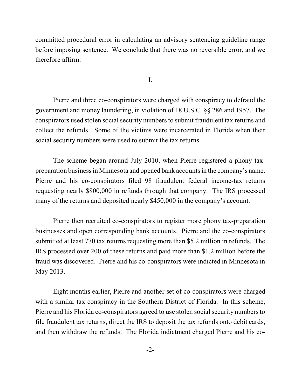committed procedural error in calculating an advisory sentencing guideline range before imposing sentence. We conclude that there was no reversible error, and we therefore affirm.

I.

Pierre and three co-conspirators were charged with conspiracy to defraud the government and money laundering, in violation of 18 U.S.C. §§ 286 and 1957. The conspirators used stolen social security numbers to submit fraudulent tax returns and collect the refunds. Some of the victims were incarcerated in Florida when their social security numbers were used to submit the tax returns.

The scheme began around July 2010, when Pierre registered a phony taxpreparation businessin Minnesota and opened bank accountsin the company's name. Pierre and his co-conspirators filed 98 fraudulent federal income-tax returns requesting nearly \$800,000 in refunds through that company. The IRS processed many of the returns and deposited nearly \$450,000 in the company's account.

Pierre then recruited co-conspirators to register more phony tax-preparation businesses and open corresponding bank accounts. Pierre and the co-conspirators submitted at least 770 tax returns requesting more than \$5.2 million in refunds. The IRS processed over 200 of these returns and paid more than \$1.2 million before the fraud was discovered. Pierre and his co-conspirators were indicted in Minnesota in May 2013.

Eight months earlier, Pierre and another set of co-conspirators were charged with a similar tax conspiracy in the Southern District of Florida. In this scheme, Pierre and his Florida co-conspirators agreed to use stolen social security numbersto file fraudulent tax returns, direct the IRS to deposit the tax refunds onto debit cards, and then withdraw the refunds. The Florida indictment charged Pierre and his co-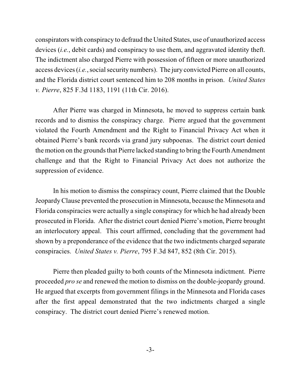conspirators with conspiracy to defraud the United States, use of unauthorized access devices (*i.e.*, debit cards) and conspiracy to use them, and aggravated identity theft. The indictment also charged Pierre with possession of fifteen or more unauthorized access devices (*i.e.*, social security numbers). The jury convicted Pierre on all counts, and the Florida district court sentenced him to 208 months in prison. *United States v. Pierre*, 825 F.3d 1183, 1191 (11th Cir. 2016).

After Pierre was charged in Minnesota, he moved to suppress certain bank records and to dismiss the conspiracy charge. Pierre argued that the government violated the Fourth Amendment and the Right to Financial Privacy Act when it obtained Pierre's bank records via grand jury subpoenas. The district court denied the motion on the grounds that Pierre lacked standing to bring the Fourth Amendment challenge and that the Right to Financial Privacy Act does not authorize the suppression of evidence.

In his motion to dismiss the conspiracy count, Pierre claimed that the Double JeopardyClause prevented the prosecution in Minnesota, because the Minnesota and Florida conspiracies were actually a single conspiracy for which he had already been prosecuted in Florida. After the district court denied Pierre's motion, Pierre brought an interlocutory appeal. This court affirmed, concluding that the government had shown by a preponderance of the evidence that the two indictments charged separate conspiracies. *United States v. Pierre*, 795 F.3d 847, 852 (8th Cir. 2015).

Pierre then pleaded guilty to both counts of the Minnesota indictment. Pierre proceeded *pro se* and renewed the motion to dismiss on the double-jeopardy ground. He argued that excerpts from government filings in the Minnesota and Florida cases after the first appeal demonstrated that the two indictments charged a single conspiracy. The district court denied Pierre's renewed motion.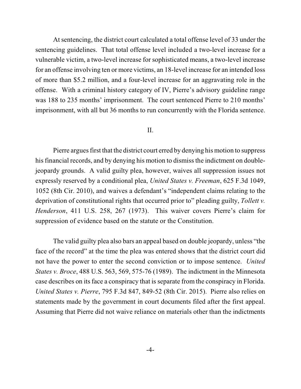At sentencing, the district court calculated a total offense level of 33 under the sentencing guidelines. That total offense level included a two-level increase for a vulnerable victim, a two-level increase for sophisticated means, a two-level increase for an offense involving ten or more victims, an 18-level increase for an intended loss of more than \$5.2 million, and a four-level increase for an aggravating role in the offense. With a criminal history category of IV, Pierre's advisory guideline range was 188 to 235 months' imprisonment. The court sentenced Pierre to 210 months' imprisonment, with all but 36 months to run concurrently with the Florida sentence.

## II.

Pierre argues first that the district court erred by denying his motion to suppress his financial records, and by denying his motion to dismiss the indictment on doublejeopardy grounds. A valid guilty plea, however, waives all suppression issues not expressly reserved by a conditional plea, *United States v. Freeman*, 625 F.3d 1049, 1052 (8th Cir. 2010), and waives a defendant's "independent claims relating to the deprivation of constitutional rights that occurred prior to" pleading guilty, *Tollett v. Henderson*, 411 U.S. 258, 267 (1973). This waiver covers Pierre's claim for suppression of evidence based on the statute or the Constitution.

The valid guilty plea also bars an appeal based on double jeopardy, unless "the face of the record" at the time the plea was entered shows that the district court did not have the power to enter the second conviction or to impose sentence. *United States v. Broce*, 488 U.S. 563, 569, 575-76 (1989). The indictment in the Minnesota case describes on its face a conspiracy that is separate from the conspiracy in Florida. *United States v. Pierre*, 795 F.3d 847, 849-52 (8th Cir. 2015). Pierre also relies on statements made by the government in court documents filed after the first appeal. Assuming that Pierre did not waive reliance on materials other than the indictments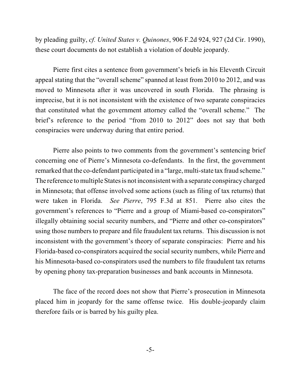by pleading guilty, *cf. United States v. Quinones*, 906 F.2d 924, 927 (2d Cir. 1990), these court documents do not establish a violation of double jeopardy.

Pierre first cites a sentence from government's briefs in his Eleventh Circuit appeal stating that the "overall scheme" spanned at least from 2010 to 2012, and was moved to Minnesota after it was uncovered in south Florida. The phrasing is imprecise, but it is not inconsistent with the existence of two separate conspiracies that constituted what the government attorney called the "overall scheme." The brief's reference to the period "from 2010 to 2012" does not say that both conspiracies were underway during that entire period.

Pierre also points to two comments from the government's sentencing brief concerning one of Pierre's Minnesota co-defendants. In the first, the government remarked that the co-defendant participated in a "large, multi-state tax fraud scheme." The reference to multiple States is not inconsistent with a separate conspiracy charged in Minnesota; that offense involved some actions (such as filing of tax returns) that were taken in Florida. *See Pierre*, 795 F.3d at 851. Pierre also cites the government's references to "Pierre and a group of Miami-based co-conspirators" illegally obtaining social security numbers, and "Pierre and other co-conspirators" using those numbersto prepare and file fraudulent tax returns. This discussion is not inconsistent with the government's theory of separate conspiracies: Pierre and his Florida-based co-conspirators acquired the socialsecurity numbers, while Pierre and his Minnesota-based co-conspirators used the numbers to file fraudulent tax returns by opening phony tax-preparation businesses and bank accounts in Minnesota.

The face of the record does not show that Pierre's prosecution in Minnesota placed him in jeopardy for the same offense twice. His double-jeopardy claim therefore fails or is barred by his guilty plea.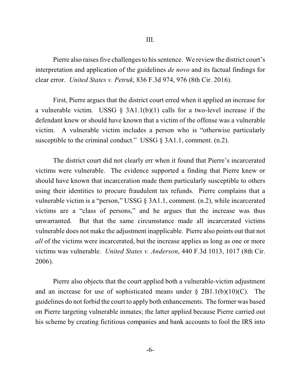Pierre also raises five challenges to his sentence. We review the district court's interpretation and application of the guidelines *de novo* and its factual findings for clear error. *United States v. Petruk*, 836 F.3d 974, 976 (8th Cir. 2016).

First, Pierre argues that the district court erred when it applied an increase for a vulnerable victim. USSG  $\S$  3A1.1(b)(1) calls for a two-level increase if the defendant knew or should have known that a victim of the offense was a vulnerable victim. A vulnerable victim includes a person who is "otherwise particularly susceptible to the criminal conduct." USSG § 3A1.1, comment. (n.2).

The district court did not clearly err when it found that Pierre's incarcerated victims were vulnerable. The evidence supported a finding that Pierre knew or should have known that incarceration made them particularly susceptible to others using their identities to procure fraudulent tax refunds. Pierre complains that a vulnerable victim is a "person," USSG § 3A1.1, comment. (n.2), while incarcerated victims are a "class of persons," and he argues that the increase was thus unwarranted. But that the same circumstance made all incarcerated victims vulnerable does not make the adjustment inapplicable. Pierre also points out that not *all* of the victims were incarcerated, but the increase applies as long as one or more victims was vulnerable. *United States v. Anderson*, 440 F.3d 1013, 1017 (8th Cir. 2006).

Pierre also objects that the court applied both a vulnerable-victim adjustment and an increase for use of sophisticated means under  $\S 2B1.1(b)(10)(C)$ . The guidelines do not forbid the court to apply both enhancements. The former was based on Pierre targeting vulnerable inmates; the latter applied because Pierre carried out his scheme by creating fictitious companies and bank accounts to fool the IRS into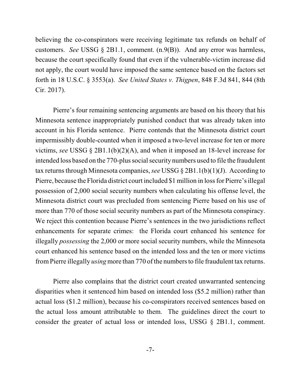believing the co-conspirators were receiving legitimate tax refunds on behalf of customers. *See* USSG § 2B1.1, comment. (n.9(B)). And any error was harmless, because the court specifically found that even if the vulnerable-victim increase did not apply, the court would have imposed the same sentence based on the factors set forth in 18 U.S.C. § 3553(a). *See United States v. Thigpen*, 848 F.3d 841, 844 (8th Cir. 2017).

Pierre's four remaining sentencing arguments are based on his theory that his Minnesota sentence inappropriately punished conduct that was already taken into account in his Florida sentence. Pierre contends that the Minnesota district court impermissibly double-counted when it imposed a two-level increase for ten or more victims, *see* USSG § 2B1.1(b)(2)(A), and when it imposed an 18-level increase for intended loss based on the 770-plus social security numbers used to file the fraudulent tax returns through Minnesota companies, *see* USSG  $\S$  2B1.1(b)(1)(J). According to Pierre, because the Florida district court included \$1 million in lossfor Pierre's illegal possession of 2,000 social security numbers when calculating his offense level, the Minnesota district court was precluded from sentencing Pierre based on his use of more than 770 of those social security numbers as part of the Minnesota conspiracy. We reject this contention because Pierre's sentences in the two jurisdictions reflect enhancements for separate crimes: the Florida court enhanced his sentence for illegally *possessing* the 2,000 or more social security numbers, while the Minnesota court enhanced his sentence based on the intended loss and the ten or more victims from Pierre illegally *using* more than 770 of the numbers to file fraudulent tax returns.

Pierre also complains that the district court created unwarranted sentencing disparities when it sentenced him based on intended loss (\$5.2 million) rather than actual loss (\$1.2 million), because his co-conspirators received sentences based on the actual loss amount attributable to them. The guidelines direct the court to consider the greater of actual loss or intended loss, USSG § 2B1.1, comment.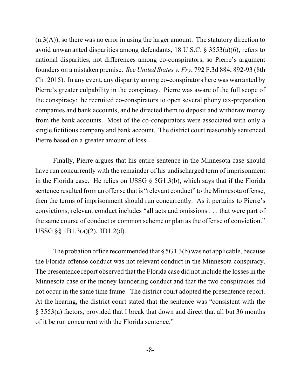$(n.3(A))$ , so there was no error in using the larger amount. The statutory direction to avoid unwarranted disparities among defendants, 18 U.S.C. § 3553(a)(6), refers to national disparities, not differences among co-conspirators, so Pierre's argument founders on a mistaken premise. *See United States v. Fry*, 792 F.3d 884, 892-93 (8th Cir. 2015). In any event, any disparity among co-conspirators here was warranted by Pierre's greater culpability in the conspiracy. Pierre was aware of the full scope of the conspiracy: he recruited co-conspirators to open several phony tax-preparation companies and bank accounts, and he directed them to deposit and withdraw money from the bank accounts. Most of the co-conspirators were associated with only a single fictitious company and bank account. The district court reasonably sentenced Pierre based on a greater amount of loss.

Finally, Pierre argues that his entire sentence in the Minnesota case should have run concurrently with the remainder of his undischarged term of imprisonment in the Florida case. He relies on USSG § 5G1.3(b), which says that if the Florida sentence resulted froman offense that is "relevant conduct" to the Minnesota offense, then the terms of imprisonment should run concurrently. As it pertains to Pierre's convictions, relevant conduct includes "all acts and omissions . . . that were part of the same course of conduct or common scheme or plan as the offense of conviction." USSG §§ 1B1.3(a)(2), 3D1.2(d).

The probation office recommended that  $\S$  5G1.3(b) was not applicable, because the Florida offense conduct was not relevant conduct in the Minnesota conspiracy. The presentence report observed that the Florida case did not include the lossesin the Minnesota case or the money laundering conduct and that the two conspiracies did not occur in the same time frame. The district court adopted the presentence report. At the hearing, the district court stated that the sentence was "consistent with the § 3553(a) factors, provided that I break that down and direct that all but 36 months of it be run concurrent with the Florida sentence."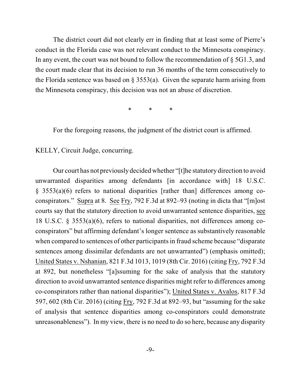The district court did not clearly err in finding that at least some of Pierre's conduct in the Florida case was not relevant conduct to the Minnesota conspiracy. In any event, the court was not bound to follow the recommendation of § 5G1.3, and the court made clear that its decision to run 36 months of the term consecutively to the Florida sentence was based on  $\S$  3553(a). Given the separate harm arising from the Minnesota conspiracy, this decision was not an abuse of discretion.

\* \* \*

For the foregoing reasons, the judgment of the district court is affirmed.

KELLY, Circuit Judge, concurring.

Our court has not previouslydecided whether "[t]he statutory direction to avoid unwarranted disparities among defendants [in accordance with] 18 U.S.C. § 3553(a)(6) refers to national disparities [rather than] differences among coconspirators." Supra at 8. See Fry, 792 F.3d at 892–93 (noting in dicta that "[m]ost courts say that the statutory direction to avoid unwarranted sentence disparities, see 18 U.S.C. § 3553(a)(6), refers to national disparities, not differences among coconspirators" but affirming defendant's longer sentence as substantively reasonable when compared to sentences of other participants in fraud scheme because "disparate sentences among dissimilar defendants are not unwarranted") (emphasis omitted); United States v. Nshanian, 821 F.3d 1013, 1019 (8th Cir. 2016) (citing Fry, 792 F.3d at 892, but nonetheless "[a]ssuming for the sake of analysis that the statutory direction to avoid unwarranted sentence disparities might refer to differences among co-conspirators rather than national disparities"); United States v. Avalos, 817 F.3d 597, 602 (8th Cir. 2016) (citing Fry, 792 F.3d at 892–93, but "assuming for the sake of analysis that sentence disparities among co-conspirators could demonstrate unreasonableness"). In my view, there is no need to do so here, because any disparity